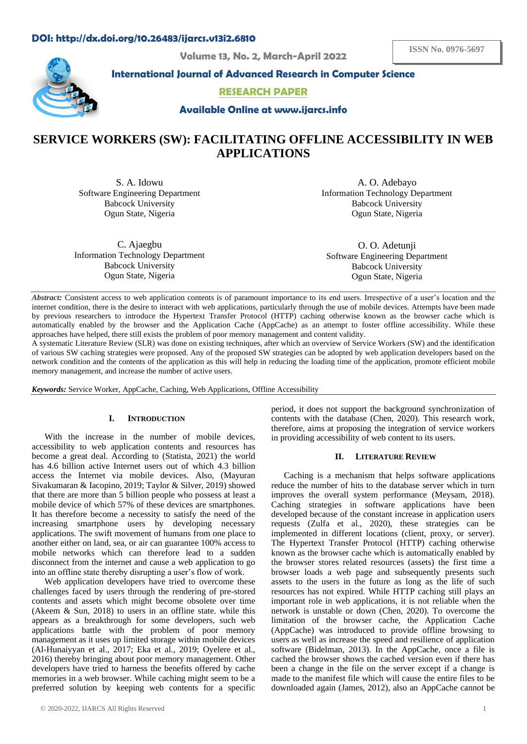## **DOI: http://dx.doi.org/10.26483/ijarcs.v13i2.6810**

**Volume 13, No. 2, March-April 2022**



**International Journal of Advanced Research in Computer Science**

**RESEARCH PAPER**

**Available Online at www.ijarcs.info**

# **SERVICE WORKERS (SW): FACILITATING OFFLINE ACCESSIBILITY IN WEB APPLICATIONS**

S. A. Idowu Software Engineering Department Babcock University Ogun State, Nigeria

A. O. Adebayo Information Technology Department Babcock University Ogun State, Nigeria

C. Ajaegbu Information Technology Department Babcock University Ogun State, Nigeria

O. O. Adetunji Software Engineering Department Babcock University Ogun State, Nigeria

*Abstract:* Consistent access to web application contents is of paramount importance to its end users. Irrespective of a user's location and the internet condition, there is the desire to interact with web applications, particularly through the use of mobile devices. Attempts have been made by previous researchers to introduce the Hypertext Transfer Protocol (HTTP) caching otherwise known as the browser cache which is automatically enabled by the browser and the Application Cache (AppCache) as an attempt to foster offline accessibility. While these approaches have helped, there still exists the problem of poor memory management and content validity.

A systematic Literature Review (SLR) was done on existing techniques, after which an overview of Service Workers (SW) and the identification of various SW caching strategies were proposed. Any of the proposed SW strategies can be adopted by web application developers based on the network condition and the contents of the application as this will help in reducing the loading time of the application, promote efficient mobile memory management, and increase the number of active users.

*Keywords:* Service Worker, AppCache, Caching, Web Applications, Offline Accessibility

## **I. INTRODUCTION**

With the increase in the number of mobile devices, accessibility to web application contents and resources has become a great deal. According to (Statista, 2021) the world has 4.6 billion active Internet users out of which 4.3 billion access the Internet via mobile devices. Also, (Mayuran Sivakumaran & Iacopino, 2019; Taylor & Silver, 2019) showed that there are more than 5 billion people who possess at least a mobile device of which 57% of these devices are smartphones. It has therefore become a necessity to satisfy the need of the increasing smartphone users by developing necessary applications. The swift movement of humans from one place to another either on land, sea, or air can guarantee 100% access to mobile networks which can therefore lead to a sudden disconnect from the internet and cause a web application to go into an offline state thereby disrupting a user's flow of work.

Web application developers have tried to overcome these challenges faced by users through the rendering of pre-stored contents and assets which might become obsolete over time (Akeem & Sun, 2018) to users in an offline state. while this appears as a breakthrough for some developers, such web applications battle with the problem of poor memory management as it uses up limited storage within mobile devices (Al-Hunaiyyan et al., 2017; Eka et al., 2019; Oyelere et al., 2016) thereby bringing about poor memory management. Other developers have tried to harness the benefits offered by cache memories in a web browser. While caching might seem to be a preferred solution by keeping web contents for a specific

period, it does not support the background synchronization of contents with the database (Chen, 2020). This research work, therefore, aims at proposing the integration of service workers in providing accessibility of web content to its users.

#### **II. LITERATURE REVIEW**

Caching is a mechanism that helps software applications reduce the number of hits to the database server which in turn improves the overall system performance (Meysam, 2018). Caching strategies in software applications have been developed because of the constant increase in application users requests (Zulfa et al., 2020), these strategies can be implemented in different locations (client, proxy, or server). The Hypertext Transfer Protocol (HTTP) caching otherwise known as the browser cache which is automatically enabled by the browser stores related resources (assets) the first time a browser loads a web page and subsequently presents such assets to the users in the future as long as the life of such resources has not expired. While HTTP caching still plays an important role in web applications, it is not reliable when the network is unstable or down (Chen, 2020). To overcome the limitation of the browser cache, the Application Cache (AppCache) was introduced to provide offline browsing to users as well as increase the speed and resilience of application software (Bidelman, 2013). In the AppCache, once a file is cached the browser shows the cached version even if there has been a change in the file on the server except if a change is made to the manifest file which will cause the entire files to be downloaded again (James, 2012), also an AppCache cannot be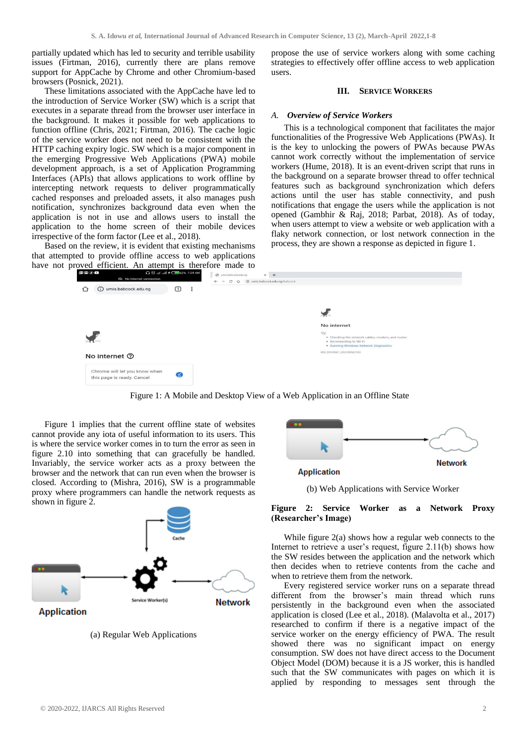partially updated which has led to security and terrible usability issues (Firtman, 2016), currently there are plans remove support for AppCache by Chrome and other Chromium-based browsers (Posnick, 2021).

These limitations associated with the AppCache have led to the introduction of Service Worker (SW) which is a script that executes in a separate thread from the browser user interface in the background. It makes it possible for web applications to function offline (Chris, 2021; Firtman, 2016). The cache logic of the service worker does not need to be consistent with the HTTP caching expiry logic. SW which is a major component in the emerging Progressive Web Applications (PWA) mobile development approach, is a set of Application Programming Interfaces (APIs) that allows applications to work offline by intercepting network requests to deliver programmatically cached responses and preloaded assets, it also manages push notification, synchronizes background data even when the application is not in use and allows users to install the application to the home screen of their mobile devices irrespective of the form factor (Lee et al., 2018).

Based on the review, it is evident that existing mechanisms that attempted to provide offline access to web applications have not proved efficient. An attempt is therefore made to propose the use of service workers along with some caching strategies to effectively offer offline access to web application users.

## **III. SERVICE WORKERS**

#### *A. Overview of Service Workers*

This is a technological component that facilitates the major functionalities of the Progressive Web Applications (PWAs). It is the key to unlocking the powers of PWAs because PWAs cannot work correctly without the implementation of service workers (Hume, 2018). It is an event-driven script that runs in the background on a separate browser thread to offer technical features such as background synchronization which defers actions until the user has stable connectivity, and push notifications that engage the users while the application is not opened (Gambhir & Raj, 2018; Parbat, 2018). As of today, when users attempt to view a website or web application with a flaky network connection, or lost network connection in the process, they are shown a response as depicted in figure 1.



Figure 1: A Mobile and Desktop View of a Web Application in an Offline State

Figure 1 implies that the current offline state of websites cannot provide any iota of useful information to its users. This is where the service worker comes in to turn the error as seen in figure 2.10 into something that can gracefully be handled. Invariably, the service worker acts as a proxy between the browser and the network that can run even when the browser is closed. According to (Mishra, 2016), SW is a programmable proxy where programmers can handle the network requests as shown in figure 2.



(a) Regular Web Applications

| <b>Application</b> | <b>Network</b> |
|--------------------|----------------|

(b) Web Applications with Service Worker

#### **Figure 2: Service Worker as a Network Proxy (Researcher's Image)**

While figure 2(a) shows how a regular web connects to the Internet to retrieve a user's request, figure 2.11(b) shows how the SW resides between the application and the network which then decides when to retrieve contents from the cache and when to retrieve them from the network.

Every registered service worker runs on a separate thread different from the browser's main thread which runs persistently in the background even when the associated application is closed (Lee et al., 2018). (Malavolta et al., 2017) researched to confirm if there is a negative impact of the service worker on the energy efficiency of PWA. The result showed there was no significant impact on energy consumption. SW does not have direct access to the Document Object Model (DOM) because it is a JS worker, this is handled such that the SW communicates with pages on which it is applied by responding to messages sent through the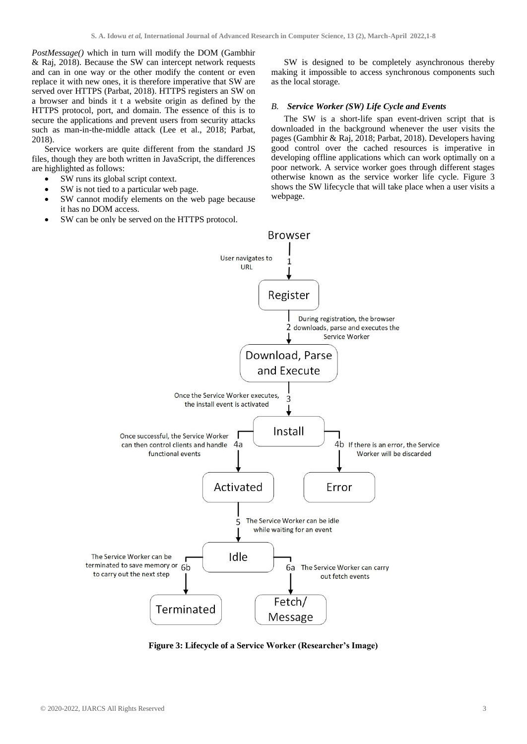*PostMessage()* which in turn will modify the DOM (Gambhir & Raj, 2018). Because the SW can intercept network requests and can in one way or the other modify the content or even replace it with new ones, it is therefore imperative that SW are served over HTTPS (Parbat, 2018). HTTPS registers an SW on a browser and binds it t a website origin as defined by the HTTPS protocol, port, and domain. The essence of this is to secure the applications and prevent users from security attacks such as man-in-the-middle attack (Lee et al., 2018; Parbat, 2018).

Service workers are quite different from the standard JS files, though they are both written in JavaScript, the differences are highlighted as follows:

- SW runs its global script context.
- SW is not tied to a particular web page.
- SW cannot modify elements on the web page because it has no DOM access.
- SW can be only be served on the HTTPS protocol.

SW is designed to be completely asynchronous thereby making it impossible to access synchronous components such as the local storage.

## *B. Service Worker (SW) Life Cycle and Events*

The SW is a short-life span event-driven script that is downloaded in the background whenever the user visits the pages (Gambhir & Raj, 2018; Parbat, 2018). Developers having good control over the cached resources is imperative in developing offline applications which can work optimally on a poor network. A service worker goes through different stages otherwise known as the service worker life cycle. Figure 3 shows the SW lifecycle that will take place when a user visits a webpage.



**Figure 3: Lifecycle of a Service Worker (Researcher's Image)**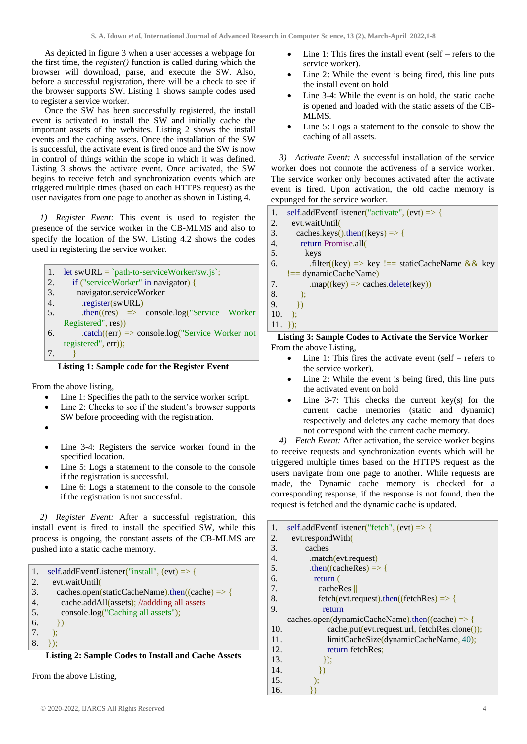As depicted in figure 3 when a user accesses a webpage for the first time, the *register()* function is called during which the browser will download, parse, and execute the SW. Also, before a successful registration, there will be a check to see if the browser supports SW. Listing 1 shows sample codes used to register a service worker.

Once the SW has been successfully registered, the install event is activated to install the SW and initially cache the important assets of the websites. Listing 2 shows the install events and the caching assets. Once the installation of the SW is successful, the activate event is fired once and the SW is now in control of things within the scope in which it was defined. Listing 3 shows the activate event. Once activated, the SW begins to receive fetch and synchronization events which are triggered multiple times (based on each HTTPS request) as the user navigates from one page to another as shown in Listing 4.

*1) Register Event:* This event is used to register the presence of the service worker in the CB-MLMS and also to specify the location of the SW. Listing 4.2 shows the codes used in registering the service worker.

```
1. let swURL = `path-to-serviceWorker/sw.js`;
2. if ("serviceWorker" in navigator) {
3. navigator.serviceWorker
4. .register(swURL)
5. then((res) \implies console.log("Service WorkerRegistered", res))
6. . .catch((err) \Rightarrow console.log("Service Worker not
    registered", err));
7. }
```
## **Listing 1: Sample code for the Register Event**

From the above listing,

- Line 1: Specifies the path to the service worker script.
- Line 2: Checks to see if the student's browser supports SW before proceeding with the registration.
- •
- Line 3-4: Registers the service worker found in the specified location.
- Line 5: Logs a statement to the console to the console if the registration is successful.
- Line 6: Logs a statement to the console to the console if the registration is not successful.

*2) Register Event:* After a successful registration, this install event is fired to install the specified SW, while this process is ongoing, the constant assets of the CB-MLMS are pushed into a static cache memory.

| $\mathbf{1}$ .   | self.addEventListener("install", (evt) $\Rightarrow$ { |
|------------------|--------------------------------------------------------|
| $\overline{2}$ . | evt.waitUntil                                          |
| 3.               | caches.open(staticCacheName).then((cache) => {         |
| 4.               | cache.addAll(assets); //addding all assets             |
| 5.               | console.log("Caching all assets");                     |
| 6.               | $\{ \}$                                                |
| 7.               | $\mathcal{L}$                                          |
| 8.               | $\ddagger$ :                                           |
|                  | Listing 2: Sample Codes to Install and Cache Assets    |

From the above Listing,

- Line 1: This fires the install event (self refers to the service worker).
- Line 2: While the event is being fired, this line puts the install event on hold
- Line 3-4: While the event is on hold, the static cache is opened and loaded with the static assets of the CB-MLMS.
- Line 5: Logs a statement to the console to show the caching of all assets.

*3) Activate Event:* A successful installation of the service worker does not connote the activeness of a service worker. The service worker only becomes activated after the activate event is fired. Upon activation, the old cache memory is expunged for the service worker.

| 1.         | self.addEventListener("activate", $(ev) \Rightarrow$ { |  |  |
|------------|--------------------------------------------------------|--|--|
| 2.         | evt.waitUntil                                          |  |  |
| 3.         | caches.keys().then((keys) $\Rightarrow$ {              |  |  |
| 4.         | return Promise.all                                     |  |  |
| 5.         | keys                                                   |  |  |
| 6.         | .filter((key) => key !== staticCacheName && key        |  |  |
|            | $!=$ dynamicCacheName)                                 |  |  |
| 7.         | $map((key) \Rightarrow caches.delete(key))$            |  |  |
| 8.         | $\cdot$ );                                             |  |  |
| 9.         | $\rightarrow$                                          |  |  |
| 10.        | $\rightarrow$                                          |  |  |
| $11. \}$ : |                                                        |  |  |
|            | Listing 2. Comple Codes to Astivate the Course Woulse  |  |  |

**Listing 3: Sample Codes to Activate the Service Worker** From the above Listing,

- Line 1: This fires the activate event (self refers to the service worker).
- Line 2: While the event is being fired, this line puts the activated event on hold
- Line  $3-7$ : This checks the current key(s) for the current cache memories (static and dynamic) respectively and deletes any cache memory that does not correspond with the current cache memory.

*4) Fetch Event:* After activation, the service worker begins to receive requests and synchronization events which will be triggered multiple times based on the HTTPS request as the users navigate from one page to another. While requests are made, the Dynamic cache memory is checked for a corresponding response, if the response is not found, then the request is fetched and the dynamic cache is updated.

| 1.  | self.addEventListener("fetch", $(ev) \Rightarrow$ { |
|-----|-----------------------------------------------------|
| 2.  | evt.respondWith                                     |
| 3.  | caches                                              |
| 4.  | .match(evt.request)                                 |
| 5.  | .then( $(cacheRes) \Rightarrow$ }                   |
| 6.  | return (                                            |
| 7.  | cacheRes $\parallel$                                |
| 8.  | $fetch(evt.request).then((fetchRes) \Rightarrow \{$ |
| 9.  | return                                              |
|     | caches.open(dynamicCacheName).then((cache) => {     |
| 10. | cache.put(evt.request.url, fetchRes.clone());       |
| 11. | limitCacheSize(dynamicCacheName, 40);               |
| 12. | return fetchRes:                                    |
| 13. | $\vert \cdot \rangle$                               |
| 14. | $\{x\}$                                             |
| 15. | ):                                                  |
| 16. |                                                     |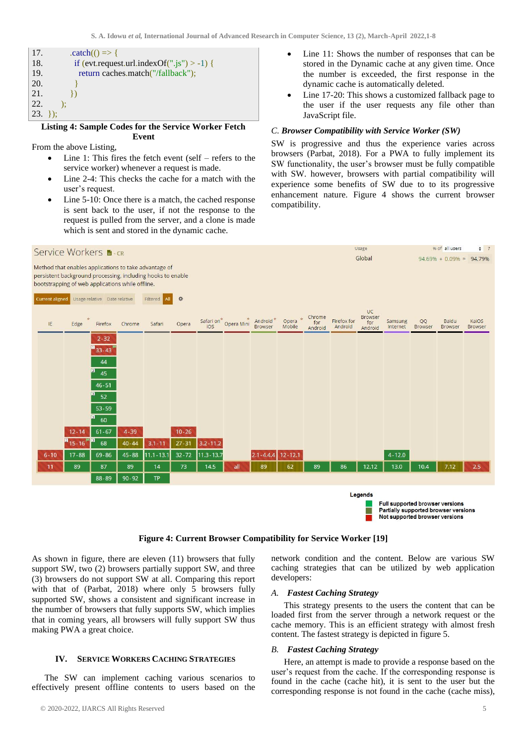| 17.              | $. catch() \Rightarrow \{$                 |
|------------------|--------------------------------------------|
| 18.              | if (evt.request.url.indexOf(".js") > -1) { |
| 19.              | return caches.match("/fallback");          |
| 20.              |                                            |
| 21.              |                                            |
| 22.              |                                            |
| $ 23. \rangle$ : |                                            |

#### **Listing 4: Sample Codes for the Service Worker Fetch Event**

From the above Listing,

- Line 1: This fires the fetch event (self refers to the service worker) whenever a request is made.
- Line 2-4: This checks the cache for a match with the user's request.
- Line 5-10: Once there is a match, the cached response is sent back to the user, if not the response to the request is pulled from the server, and a clone is made which is sent and stored in the dynamic cache.
- Line 11: Shows the number of responses that can be stored in the Dynamic cache at any given time. Once the number is exceeded, the first response in the dynamic cache is automatically deleted.
- Line 17-20: This shows a customized fallback page to the user if the user requests any file other than JavaScript file.

## *C. Browser Compatibility with Service Worker (SW)*

SW is progressive and thus the experience varies across browsers (Parbat, 2018). For a PWA to fully implement its SW functionality, the user's browser must be fully compatible with SW. however, browsers with partial compatibility will experience some benefits of SW due to to its progressive enhancement nature. Figure 4 shows the current browser compatibility.



## **Figure 4: Current Browser Compatibility for Service Worker [19]**

As shown in figure, there are eleven (11) browsers that fully support SW, two (2) browsers partially support SW, and three (3) browsers do not support SW at all. Comparing this report with that of (Parbat, 2018) where only 5 browsers fully supported SW, shows a consistent and significant increase in the number of browsers that fully supports SW, which implies that in coming years, all browsers will fully support SW thus making PWA a great choice.

#### **IV. SERVICE WORKERS CACHING STRATEGIES**

The SW can implement caching various scenarios to effectively present offline contents to users based on the

network condition and the content. Below are various SW caching strategies that can be utilized by web application developers:

## *A. Fastest Caching Strategy*

This strategy presents to the users the content that can be loaded first from the server through a network request or the cache memory. This is an efficient strategy with almost fresh content. The fastest strategy is depicted in figure 5.

#### *B. Fastest Caching Strategy*

Here, an attempt is made to provide a response based on the user's request from the cache. If the corresponding response is found in the cache (cache hit), it is sent to the user but the corresponding response is not found in the cache (cache miss),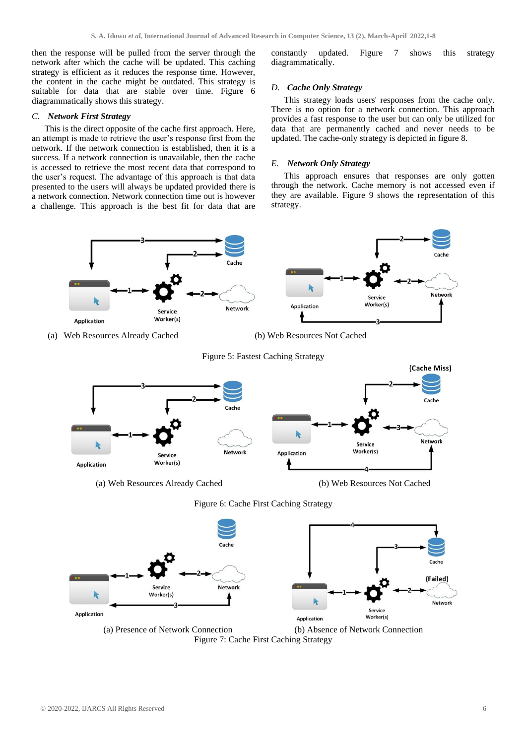then the response will be pulled from the server through the network after which the cache will be updated. This caching strategy is efficient as it reduces the response time. However, the content in the cache might be outdated. This strategy is suitable for data that are stable over time. Figure 6 diagrammatically shows this strategy.

## *C. Network First Strategy*

This is the direct opposite of the cache first approach. Here, an attempt is made to retrieve the user's response first from the network. If the network connection is established, then it is a success. If a network connection is unavailable, then the cache is accessed to retrieve the most recent data that correspond to the user's request. The advantage of this approach is that data presented to the users will always be updated provided there is a network connection. Network connection time out is however a challenge. This approach is the best fit for data that are constantly updated. Figure 7 shows this strategy diagrammatically.

## *D. Cache Only Strategy*

This strategy loads users' responses from the cache only. There is no option for a network connection. This approach provides a fast response to the user but can only be utilized for data that are permanently cached and never needs to be updated. The cache-only strategy is depicted in figure 8.

#### *E. Network Only Strategy*

This approach ensures that responses are only gotten through the network. Cache memory is not accessed even if they are available. Figure 9 shows the representation of this strategy.







Figure 6: Cache First Caching Strategy



Figure 7: Cache First Caching Strategy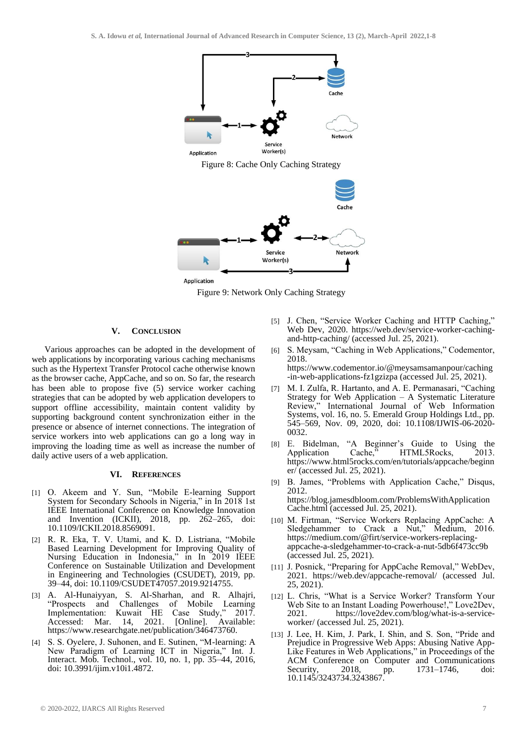

Figure 8: Cache Only Caching Strategy





## **V. CONCLUSION**

Various approaches can be adopted in the development of web applications by incorporating various caching mechanisms such as the Hypertext Transfer Protocol cache otherwise known as the browser cache, AppCache, and so on. So far, the research has been able to propose five (5) service worker caching strategies that can be adopted by web application developers to support offline accessibility, maintain content validity by supporting background content synchronization either in the presence or absence of internet connections. The integration of service workers into web applications can go a long way in improving the loading time as well as increase the number of daily active users of a web application.

#### **VI. REFERENCES**

- [1] O. Akeem and Y. Sun, "Mobile E-learning Support System for Secondary Schools in Nigeria," in In 2018 1st IEEE International Conference on Knowledge Innovation and Invention (ICKII), 2018, pp. 262–265, doi: 10.1109/ICKII.2018.8569091.
- [2] R. R. Eka, T. V. Utami, and K. D. Listriana, "Mobile Based Learning Development for Improving Quality of Nursing Education in Indonesia," in In 2019 IEEE Conference on Sustainable Utilization and Development in Engineering and Technologies (CSUDET), 2019, pp. 39–44, doi: 10.1109/CSUDET47057.2019.9214755.
- [3] A. Al-Hunaiyyan, S. Al-Sharhan, and R. Alhajri, "Prospects and Challenges of Mobile Learning "Prospects and Challenges of Mobile Learning<br>Implementation: Kuwait HE Case Study," 2017. Accessed: Mar. 14, 2021. [Online]. Available: https://www.researchgate.net/publication/346473760.
- S. S. Oyelere, J. Suhonen, and E. Sutinen, "M-learning: A New Paradigm of Learning ICT in Nigeria," Int. J. Interact. Mob. Technol., vol. 10, no. 1, pp. 35–44, 2016, doi: 10.3991/ijim.v10i1.4872.
- [5] J. Chen, "Service Worker Caching and HTTP Caching," Web Dev, 2020. https://web.dev/service-worker-cachingand-http-caching/ (accessed Jul. 25, 2021).
- [6] S. Meysam, "Caching in Web Applications," Codementor, 2018.
	- https://www.codementor.io/@meysamsamanpour/caching -in-web-applications-fz1gzizpa (accessed Jul. 25, 2021).
- [7] M. I. Zulfa, R. Hartanto, and A. E. Permanasari, "Caching Strategy for Web Application – A Systematic Literature Review," International Journal of Web Information Systems, vol. 16, no. 5. Emerald Group Holdings Ltd., pp. 545–569, Nov. 09, 2020, doi: 10.1108/IJWIS-06-2020- 0032.
- [8] E. Bidelman, "A Beginner's Guide to Using the Application Cache," HTML5Rocks, 2013. https://www.html5rocks.com/en/tutorials/appcache/beginn er/ (accessed Jul. 25, 2021).
- [9] B. James, "Problems with Application Cache," Disqus, 2012. https://blog.jamesdbloom.com/ProblemsWithApplication Cache.html (accessed Jul. 25, 2021).
- [10] M. Firtman, "Service Workers Replacing AppCache: A Sledgehammer to Crack a Nut," Medium, 2016. https://medium.com/@firt/service-workers-replacingappcache-a-sledgehammer-to-crack-a-nut-5db6f473cc9b (accessed Jul.  $25$ , 2021).
- [11] J. Posnick, "Preparing for AppCache Removal," WebDev, 2021. https://web.dev/appcache-removal/ (accessed Jul. 25, 2021).
- [12] L. Chris, "What is a Service Worker? Transform Your Web Site to an Instant Loading Powerhouse!," Love2Dev, 2021. https://love2dev.com/blog/what-is-a-serviceworker/ (accessed Jul. 25, 2021).
- [13] J. Lee, H. Kim, J. Park, I. Shin, and S. Son, "Pride and Prejudice in Progressive Web Apps: Abusing Native App-Like Features in Web Applications," in Proceedings of the ACM Conference on Computer and Communications Security, 2018, pp. 1731–1746, doi: 10.1145/3243734.3243867.